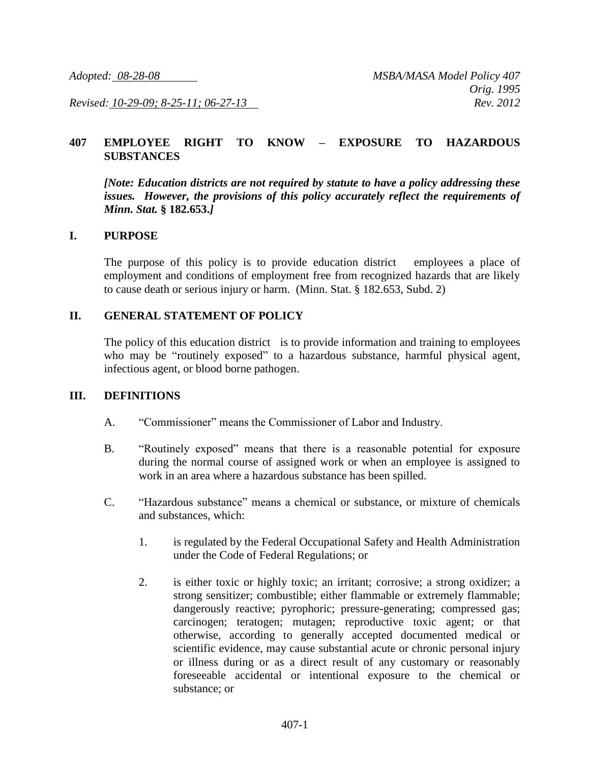*Revised: 10-29-09; 8-25-11; 06-27-13 Rev. 2012*

## **407 EMPLOYEE RIGHT TO KNOW – EXPOSURE TO HAZARDOUS SUBSTANCES**

*[Note: Education districts are not required by statute to have a policy addressing these issues. However, the provisions of this policy accurately reflect the requirements of Minn. Stat.* **§ 182.653.***]*

### **I. PURPOSE**

The purpose of this policy is to provide education district employees a place of employment and conditions of employment free from recognized hazards that are likely to cause death or serious injury or harm. (Minn. Stat. § 182.653, Subd. 2)

### **II. GENERAL STATEMENT OF POLICY**

The policy of this education district is to provide information and training to employees who may be "routinely exposed" to a hazardous substance, harmful physical agent, infectious agent, or blood borne pathogen.

#### **III. DEFINITIONS**

- A. "Commissioner" means the Commissioner of Labor and Industry.
- B. "Routinely exposed" means that there is a reasonable potential for exposure during the normal course of assigned work or when an employee is assigned to work in an area where a hazardous substance has been spilled.
- C. "Hazardous substance" means a chemical or substance, or mixture of chemicals and substances, which:
	- 1. is regulated by the Federal Occupational Safety and Health Administration under the Code of Federal Regulations; or
	- 2. is either toxic or highly toxic; an irritant; corrosive; a strong oxidizer; a strong sensitizer; combustible; either flammable or extremely flammable; dangerously reactive; pyrophoric; pressure-generating; compressed gas; carcinogen; teratogen; mutagen; reproductive toxic agent; or that otherwise, according to generally accepted documented medical or scientific evidence, may cause substantial acute or chronic personal injury or illness during or as a direct result of any customary or reasonably foreseeable accidental or intentional exposure to the chemical or substance; or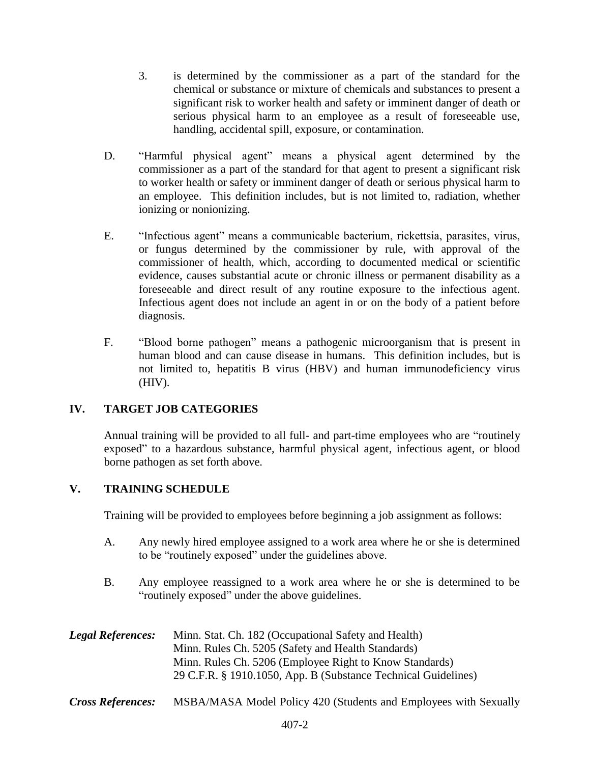- 3. is determined by the commissioner as a part of the standard for the chemical or substance or mixture of chemicals and substances to present a significant risk to worker health and safety or imminent danger of death or serious physical harm to an employee as a result of foreseeable use, handling, accidental spill, exposure, or contamination.
- D. "Harmful physical agent" means a physical agent determined by the commissioner as a part of the standard for that agent to present a significant risk to worker health or safety or imminent danger of death or serious physical harm to an employee. This definition includes, but is not limited to, radiation, whether ionizing or nonionizing.
- E. "Infectious agent" means a communicable bacterium, rickettsia, parasites, virus, or fungus determined by the commissioner by rule, with approval of the commissioner of health, which, according to documented medical or scientific evidence, causes substantial acute or chronic illness or permanent disability as a foreseeable and direct result of any routine exposure to the infectious agent. Infectious agent does not include an agent in or on the body of a patient before diagnosis.
- F. "Blood borne pathogen" means a pathogenic microorganism that is present in human blood and can cause disease in humans. This definition includes, but is not limited to, hepatitis B virus (HBV) and human immunodeficiency virus (HIV).

# **IV. TARGET JOB CATEGORIES**

Annual training will be provided to all full- and part-time employees who are "routinely exposed" to a hazardous substance, harmful physical agent, infectious agent, or blood borne pathogen as set forth above.

# **V. TRAINING SCHEDULE**

Training will be provided to employees before beginning a job assignment as follows:

- A. Any newly hired employee assigned to a work area where he or she is determined to be "routinely exposed" under the guidelines above.
- B. Any employee reassigned to a work area where he or she is determined to be "routinely exposed" under the above guidelines.

| <b>Legal References:</b> | Minn. Stat. Ch. 182 (Occupational Safety and Health)<br>Minn. Rules Ch. 5205 (Safety and Health Standards)<br>Minn. Rules Ch. 5206 (Employee Right to Know Standards)<br>29 C.F.R. § 1910.1050, App. B (Substance Technical Guidelines) |
|--------------------------|-----------------------------------------------------------------------------------------------------------------------------------------------------------------------------------------------------------------------------------------|
| $\sim$                   | 100(0.11)                                                                                                                                                                                                                               |
| $\mathbf{r}$             | 1.60 LA FLOI 15 LA TO 1.                                                                                                                                                                                                                |

*Cross References:* MSBA/MASA Model Policy 420 (Students and Employees with Sexually